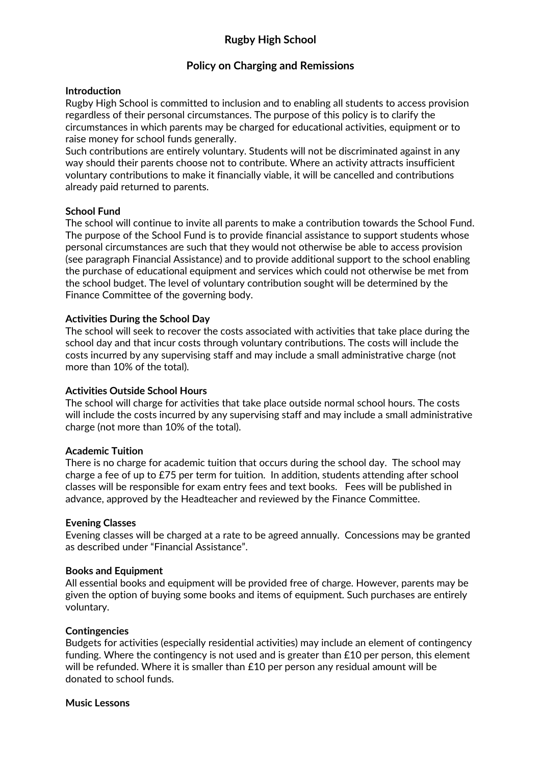# **Rugby High School**

# **Policy on Charging and Remissions**

#### **Introduction**

Rugby High School is committed to inclusion and to enabling all students to access provision regardless of their personal circumstances. The purpose of this policy is to clarify the circumstances in which parents may be charged for educational activities, equipment or to raise money for school funds generally.

Such contributions are entirely voluntary. Students will not be discriminated against in any way should their parents choose not to contribute. Where an activity attracts insufficient voluntary contributions to make it financially viable, it will be cancelled and contributions already paid returned to parents.

#### **School Fund**

The school will continue to invite all parents to make a contribution towards the School Fund. The purpose of the School Fund is to provide financial assistance to support students whose personal circumstances are such that they would not otherwise be able to access provision (see paragraph Financial Assistance) and to provide additional support to the school enabling the purchase of educational equipment and services which could not otherwise be met from the school budget. The level of voluntary contribution sought will be determined by the Finance Committee of the governing body.

#### **Activities During the School Day**

The school will seek to recover the costs associated with activities that take place during the school day and that incur costs through voluntary contributions. The costs will include the costs incurred by any supervising staff and may include a small administrative charge (not more than 10% of the total).

#### **Activities Outside School Hours**

The school will charge for activities that take place outside normal school hours. The costs will include the costs incurred by any supervising staff and may include a small administrative charge (not more than 10% of the total).

#### **Academic Tuition**

There is no charge for academic tuition that occurs during the school day. The school may charge a fee of up to £75 per term for tuition. In addition, students attending after school classes will be responsible for exam entry fees and text books. Fees will be published in advance, approved by the Headteacher and reviewed by the Finance Committee.

#### **Evening Classes**

Evening classes will be charged at a rate to be agreed annually. Concessions may be granted as described under "Financial Assistance".

#### **Books and Equipment**

All essential books and equipment will be provided free of charge. However, parents may be given the option of buying some books and items of equipment. Such purchases are entirely voluntary.

#### **Contingencies**

Budgets for activities (especially residential activities) may include an element of contingency funding. Where the contingency is not used and is greater than £10 per person, this element will be refunded. Where it is smaller than £10 per person any residual amount will be donated to school funds.

#### **Music Lessons**